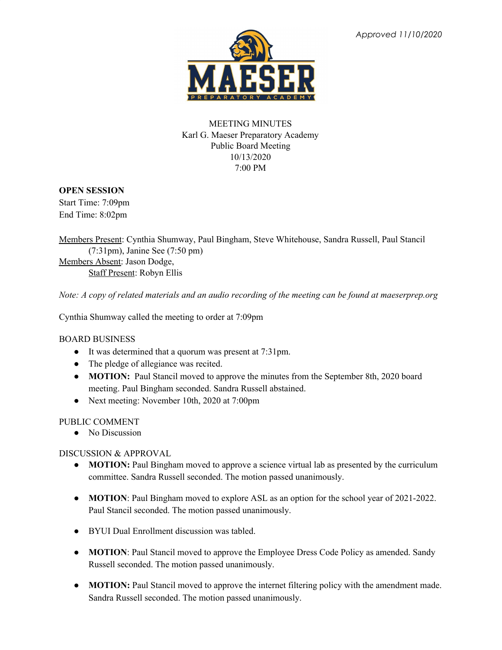

## MEETING MINUTES Karl G. Maeser Preparatory Academy Public Board Meeting 10/13/2020 7:00 PM

## **OPEN SESSION**

Start Time: 7:09pm End Time: 8:02pm

Members Present: Cynthia Shumway, Paul Bingham, Steve Whitehouse, Sandra Russell, Paul Stancil (7:31pm), Janine See (7:50 pm) Members Absent: Jason Dodge, Staff Present: Robyn Ellis

Note: A copy of related materials and an audio recording of the meeting can be found at maeserprep.org

Cynthia Shumway called the meeting to order at 7:09pm

BOARD BUSINESS

- It was determined that a quorum was present at 7:31pm.
- The pledge of allegiance was recited.
- **MOTION:** Paul Stancil moved to approve the minutes from the September 8th, 2020 board meeting. Paul Bingham seconded. Sandra Russell abstained.
- Next meeting: November 10th, 2020 at 7:00pm

## PUBLIC COMMENT

• No Discussion

DISCUSSION & APPROVAL

- **MOTION:** Paul Bingham moved to approve a science virtual lab as presented by the curriculum committee. Sandra Russell seconded. The motion passed unanimously.
- **MOTION**: Paul Bingham moved to explore ASL as an option for the school year of 2021-2022. Paul Stancil seconded. The motion passed unanimously.
- BYUI Dual Enrollment discussion was tabled.
- **MOTION**: Paul Stancil moved to approve the Employee Dress Code Policy as amended. Sandy Russell seconded. The motion passed unanimously.
- **MOTION:** Paul Stancil moved to approve the internet filtering policy with the amendment made. Sandra Russell seconded. The motion passed unanimously.